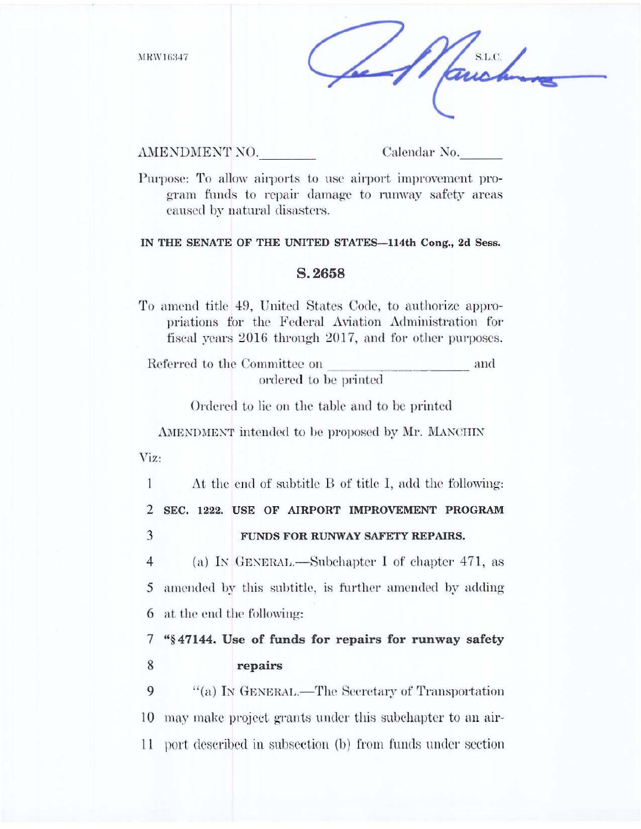MRW16347

S.L.C.

AMENDMENT NO.

## Calendar No.

Purpose: To allow airports to use airport improvement program funds to repair damage to runway safety areas caused by natural disasters.

IN THE SENATE OF THE UNITED STATES-114th Cong., 2d Sess.

## S.2658

To amend title 49, United States Code, to authorize appropriations for the Federal Aviation Administration for fiscal years 2016 through 2017, and for other purposes.

Referred to the Committee on and ordered to be printed

Ordered to lie on the table and to be printed

AMENDMENT intended to be proposed by Mr. MANCHIN

Viz:

1 At the end of subtitle B of title I, add the following:  $\mathcal{D}$ SEC. 1222. USE OF AIRPORT IMPROVEMENT PROGRAM 3 FUNDS FOR RUNWAY SAFETY REPAIRS.  $\overline{4}$ (a) IN GENERAL.—Subchapter I of chapter 471, as 5 amended by this subtitle, is further amended by adding 6 at the end the following: 7 "§47144. Use of funds for repairs for runway safety 8 repairs "(a) IN GENERAL.—The Secretary of Transportation 9 10 may make project grants under this subchapter to an air-

11 port described in subsection (b) from funds under section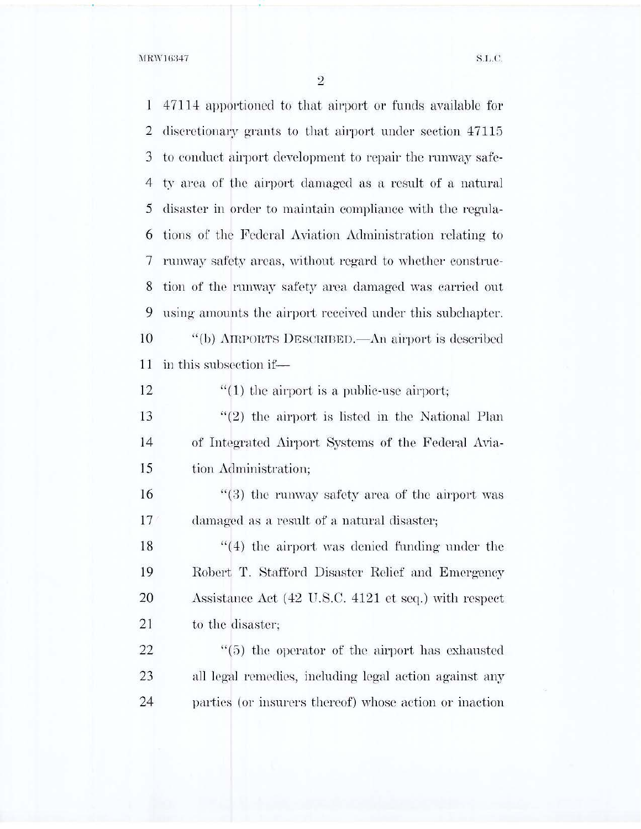MRW16347

S.L.C.

 $\overline{2}$ 

47114 apportioned to that airport or funds available for 1 discretionary grants to that airport under section 47115 2 3 to conduct airport development to repair the runway safety area of the airport damaged as a result of a natural 4 5 disaster in order to maintain compliance with the regulations of the Federal Aviation Administration relating to 6 runway safety areas, without regard to whether construc-7 8 tion of the runway safety area damaged was carried out using amounts the airport received under this subchapter. 9 10 "(b) AIRPORTS DESCRIBED.—An airport is described in this subsection if-11 12  $f'(1)$  the airport is a public-use airport;  $''(2)$  the airport is listed in the National Plan 13 of Integrated Airport Systems of the Federal Avia-14 15 tion Administration;  $(3)$  the runway safety area of the airport was 16 17 damaged as a result of a natural disaster;  $(4)$  the airport was denied funding under the 18 19 Robert T. Stafford Disaster Relief and Emergency 20 Assistance Act (42 U.S.C. 4121 et seq.) with respect 21 to the disaster:  $(5)$  the operator of the airport has exhausted 22 23 all legal remedies, including legal action against any 24 parties (or insurers thereof) whose action or inaction